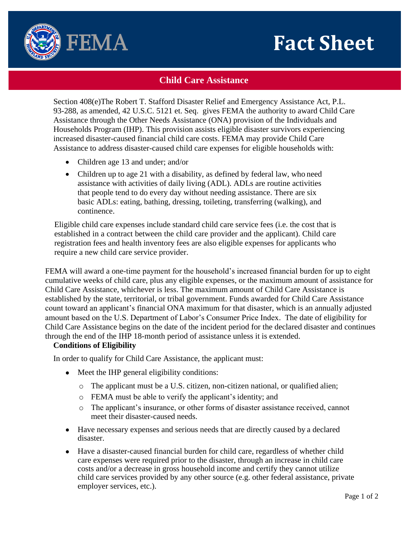# **Fact Sheet**



# **Child Care Assistance**

Section 408(e)The Robert T. Stafford Disaster Relief and Emergency Assistance Act, P.L. 93-288, as amended, 42 U.S.C. 5121 et. Seq. gives FEMA the authority to award Child Care Assistance through the Other Needs Assistance (ONA) provision of the Individuals and Households Program (IHP). This provision assists eligible disaster survivors experiencing increased disaster-caused financial child care costs. FEMA may provide Child Care Assistance to address disaster-caused child care expenses for eligible households with:

- Children age 13 and under; and/or
- Children up to age 21 with a disability, as defined by federal law, who need assistance with activities of daily living (ADL). ADLs are routine activities that people tend to do every day without needing assistance. There are six basic ADLs: eating, bathing, dressing, toileting, transferring (walking), and continence.

Eligible child care expenses include standard child care service fees (i.e. the cost that is established in a contract between the child care provider and the applicant). Child care registration fees and health inventory fees are also eligible expenses for applicants who require a new child care service provider.

FEMA will award a one-time payment for the household's increased financial burden for up to eight cumulative weeks of child care, plus any eligible expenses, or the maximum amount of assistance for Child Care Assistance, whichever is less. The maximum amount of Child Care Assistance is established by the state, territorial, or tribal government. Funds awarded for Child Care Assistance count toward an applicant's financial ONA maximum for that disaster, which is an annually adjusted amount based on the U.S. Department of Labor's Consumer Price Index. The date of eligibility for Child Care Assistance begins on the date of the incident period for the declared disaster and continue s through the end of the IHP 18-month period of assistance unless it is extended.

## **Conditions of Eligibility**

In order to qualify for Child Care Assistance, the applicant must:

- Meet the IHP general eligibility conditions:
	- o The applicant must be a U.S. citizen, non-citizen national, or qualified alien;
	- o FEMA must be able to verify the applicant's identity; and
	- o The applicant's insurance, or other forms of disaster assistance received, cannot meet their disaster-caused needs.
- Have necessary expenses and serious needs that are directly caused by a declared disaster.
- Have a disaster-caused financial burden for child care, regardless of whether child care expenses were required prior to the disaster, through an increase in child care costs and/or a decrease in gross household income and certify they cannot utilize child care services provided by any other source (e.g. other federal assistance, private employer services, etc.).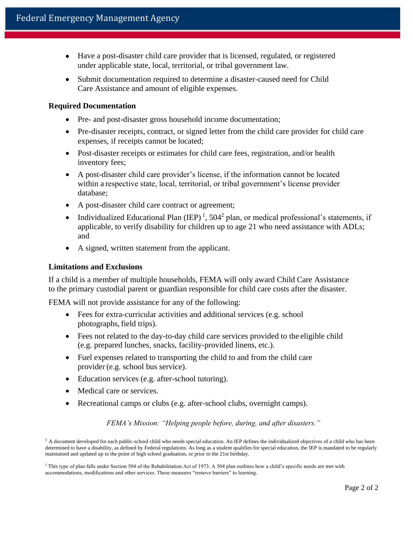- Have a post-disaster child care provider that is licensed, regulated, or registered under applicable state, local, territorial, or tribal government law.
- Submit documentation required to determine a disaster-caused need for Child Care Assistance and amount of eligible expenses.

### **Required Documentation**

- Pre- and post-disaster gross household income documentation;
- Pre-disaster receipts, contract, or signed letter from the child care provider for child care expenses, if receipts cannot be located;
- Post-disaster receipts or estimates for child care fees, registration, and/or health inventory fees;
- A post-disaster child care provider's license, if the information cannot be located within a respective state, local, territorial, or tribal government's license provider database;
- A post-disaster child care contract or agreement;
- Individualized Educational Plan  $(IEP)^1$ , 504<sup>2</sup> plan, or medical professional's statements, if applicable, to verify disability for children up to age 21 who need assistance with ADLs; and
- A signed, written statement from the applicant.

#### **Limitations and Exclusions**

If a child is a member of multiple households, FEMA will only award Child Care Assistance to the primary custodial parent or guardian responsible for child care costs after the disaster.

FEMA will not provide assistance for any of the following:

- Fees for extra-curricular activities and additional services (e.g. school photographs, field trips).
- Fees not related to the day-to-day child care services provided to the eligible child (e.g. prepared lunches, snacks, facility-provided linens, etc.).
- Fuel expenses related to transporting the child to and from the child care provider(e.g. school bus service).
- Education services (e.g. after-school tutoring).
- Medical care or services.
- Recreational camps or clubs (e.g. after-school clubs, overnight camps).

*FEMA's Mission: "Helping people before, during, and after disasters."*

 $<sup>1</sup>$  A document developed for each public-school child who needs special education. An IEP defines the individualized objectives of a child who has been</sup> determined to have a disability, as defined by Federal regulations. As long as a student qualifies for special education, the IEP is mandated to be regularly maintained and updated up to the point of high school graduation, or prior to the 21st birthday.

<sup>&</sup>lt;sup>2</sup> This type of plan falls under Section 504 of the Rehabilitation Act of 1973. A 504 plan outlines how a child's specific needs are met with accommodations, modifications and other services. These measures "remove barriers" to learning.